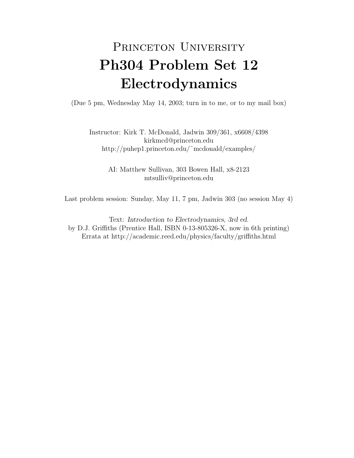## PRINCETON UNIVERSITY Ph304 Problem Set 12 Electrodynamics

(Due 5 pm, Wednesday May 14, 2003; turn in to me, or to my mail box)

Instructor: Kirk T. McDonald, Jadwin 309/361, x6608/4398 kirkmcd@princeton.edu http://puhep1.princeton.edu/˜mcdonald/examples/

> AI: Matthew Sullivan, 303 Bowen Hall, x8-2123 mtsulliv@princeton.edu

Last problem session: Sunday, May 11, 7 pm, Jadwin 303 (no session May 4)

Text: Introduction to Electrodynamics, 3rd ed. by D.J. Griffiths (Prentice Hall, ISBN 0-13-805326-X, now in 6th printing) Errata at http://academic.reed.edu/physics/faculty/griffiths.html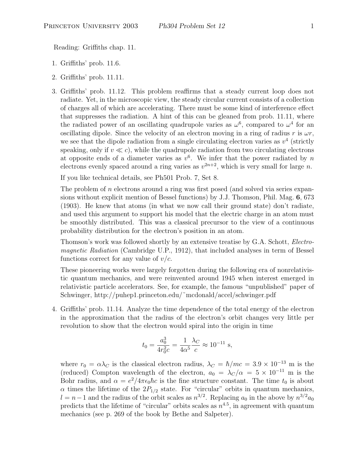Reading: Griffiths chap. 11.

- 1. Griffiths' prob. 11.6.
- 2. Griffiths' prob. 11.11.
- 3. Griffiths' prob. 11.12. This problem reaffirms that a steady current loop does not radiate. Yet, in the microscopic view, the steady circular current consists of a collection of charges all of which are accelerating. There must be some kind of interference effect that suppresses the radiation. A hint of this can be gleaned from prob. 11.11, where the radiated power of an oscillating quadrupole varies as  $\omega^6$ , compared to  $\omega^4$  for an oscillating dipole. Since the velocity of an electron moving in a ring of radius r is  $\omega r$ , we see that the dipole radiation from a single circulating electron varies as  $v^4$  (strictly speaking, only if  $v \ll c$ , while the quadrupole radiation from two circulating electrons at opposite ends of a diameter varies as  $v^6$ . We infer that the power radiated by n electrons evenly spaced around a ring varies as  $v^{2n+2}$ , which is very small for large n.

If you like technical details, see Ph501 Prob. 7, Set 8.

The problem of n electrons around a ring was first posed (and solved via series expansions without explicit mention of Bessel functions) by J.J. Thomson, Phil. Mag. 6, 673 (1903). He knew that atoms (in what we now call their ground state) don't radiate, and used this argument to support his model that the electric charge in an atom must be smoothly distributed. This was a classical precursor to the view of a continuous probability distribution for the electron's position in an atom.

Thomson's work was followed shortly by an extensive treatise by G.A. Schott, Electromagnetic Radiation (Cambridge U.P., 1912), that included analyses in term of Bessel functions correct for any value of  $v/c$ .

These pioneering works were largely forgotten during the following era of nonrelativistic quantum mechanics, and were reinvented around 1945 when interest emerged in relativistic particle accelerators. See, for example, the famous "unpublished" paper of Schwinger, http://puhep1.princeton.edu/˜mcdonald/accel/schwinger.pdf

4. Griffiths' prob. 11.14. Analyze the time dependence of the total energy of the electron in the approximation that the radius of the electron's orbit changes very little per revolution to show that the electron would spiral into the origin in time

$$
t_0 = \frac{a_0^3}{4r_0^2c} = \frac{1}{4\alpha^5} \frac{\lambda_C}{c} \approx 10^{-11} \text{ s},
$$

where  $r_0 = \alpha \lambda_C$  is the classical electron radius,  $\lambda_C = \hbar/mc = 3.9 \times 10^{-13}$  m is the (reduced) Compton wavelength of the electron,  $a_0 = \lambda_C/\alpha = 5 \times 10^{-11}$  m is the Bohr radius, and  $\alpha = e^2/4\pi\epsilon_0\hbar c$  is the fine structure constant. The time  $t_0$  is about  $\alpha$  times the lifetime of the  $2P_{1/2}$  state. For "circular" orbits in quantum mechanics,  $l = n - 1$  and the radius of the orbit scales as  $n^{3/2}$ . Replacing  $a_0$  in the above by  $n^{3/2}a_0$ predicts that the lifetime of "circular" orbits scales as  $n^{4.5}$ , in agreement with quantum mechanics (see p. 269 of the book by Bethe and Salpeter).